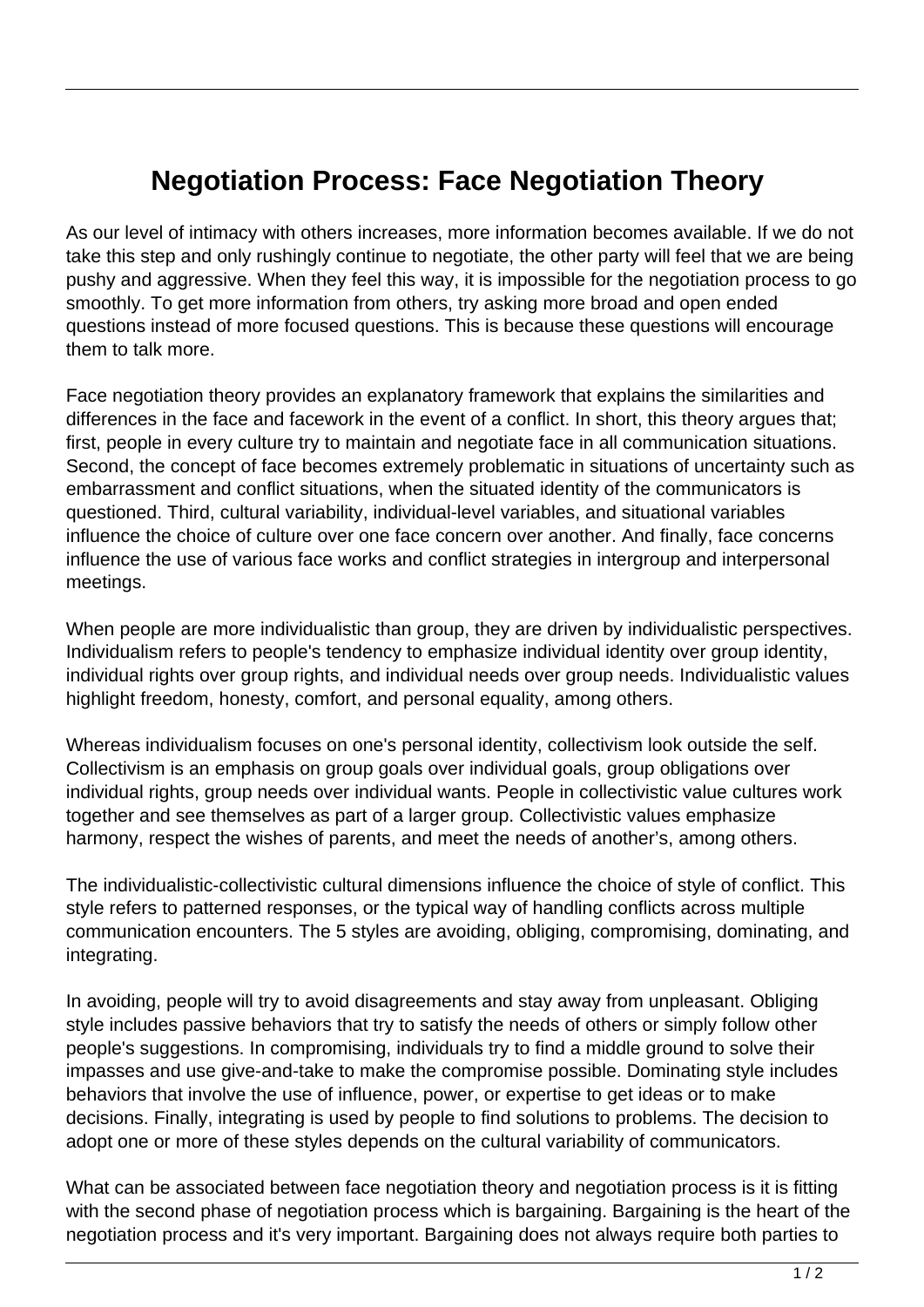## **Negotiation Process: Face Negotiation Theory**

As our level of intimacy with others increases, more information becomes available. If we do not take this step and only rushingly continue to negotiate, the other party will feel that we are being pushy and aggressive. When they feel this way, it is impossible for the negotiation process to go smoothly. To get more information from others, try asking more broad and open ended questions instead of more focused questions. This is because these questions will encourage them to talk more.

Face negotiation theory provides an explanatory framework that explains the similarities and differences in the face and facework in the event of a conflict. In short, this theory argues that; first, people in every culture try to maintain and negotiate face in all communication situations. Second, the concept of face becomes extremely problematic in situations of uncertainty such as embarrassment and conflict situations, when the situated identity of the communicators is questioned. Third, cultural variability, individual-level variables, and situational variables influence the choice of culture over one face concern over another. And finally, face concerns influence the use of various face works and conflict strategies in intergroup and interpersonal meetings.

When people are more individualistic than group, they are driven by individualistic perspectives. Individualism refers to people's tendency to emphasize individual identity over group identity, individual rights over group rights, and individual needs over group needs. Individualistic values highlight freedom, honesty, comfort, and personal equality, among others.

Whereas individualism focuses on one's personal identity, collectivism look outside the self. Collectivism is an emphasis on group goals over individual goals, group obligations over individual rights, group needs over individual wants. People in collectivistic value cultures work together and see themselves as part of a larger group. Collectivistic values emphasize harmony, respect the wishes of parents, and meet the needs of another's, among others.

The individualistic-collectivistic cultural dimensions influence the choice of style of conflict. This style refers to patterned responses, or the typical way of handling conflicts across multiple communication encounters. The 5 styles are avoiding, obliging, compromising, dominating, and integrating.

In avoiding, people will try to avoid disagreements and stay away from unpleasant. Obliging style includes passive behaviors that try to satisfy the needs of others or simply follow other people's suggestions. In compromising, individuals try to find a middle ground to solve their impasses and use give-and-take to make the compromise possible. Dominating style includes behaviors that involve the use of influence, power, or expertise to get ideas or to make decisions. Finally, integrating is used by people to find solutions to problems. The decision to adopt one or more of these styles depends on the cultural variability of communicators.

What can be associated between face negotiation theory and negotiation process is it is fitting with the second phase of negotiation process which is bargaining. Bargaining is the heart of the negotiation process and it's very important. Bargaining does not always require both parties to